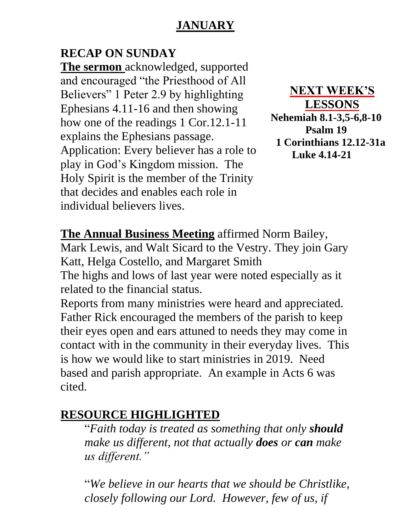## **JANUARY**

## **RECAP ON SUNDAY**

**The sermon** acknowledged, supported and encouraged "the Priesthood of All Believers" 1 Peter 2.9 by highlighting Ephesians 4.11-16 and then showing how one of the readings 1 Cor.12.1-11 explains the Ephesians passage. Application: Every believer has a role to play in God's Kingdom mission. The Holy Spirit is the member of the Trinity that decides and enables each role in individual believers lives.

**NEXT WEEK'S LESSONS Nehemiah 8.1-3,5-6,8-10 Psalm 19 1 Corinthians 12.12-31a Luke 4.14-21**

**The Annual Business Meeting** affirmed Norm Bailey,

Mark Lewis, and Walt Sicard to the Vestry. They join Gary Katt, Helga Costello, and Margaret Smith

The highs and lows of last year were noted especially as it related to the financial status.

Reports from many ministries were heard and appreciated. Father Rick encouraged the members of the parish to keep their eyes open and ears attuned to needs they may come in contact with in the community in their everyday lives. This is how we would like to start ministries in 2019. Need based and parish appropriate. An example in Acts 6 was cited.

## **RESOURCE HIGHLIGHTED**

"*Faith today is treated as something that only should make us different, not that actually does or can make us different."*

"*We believe in our hearts that we should be Christlike, closely following our Lord. However, few of us, if*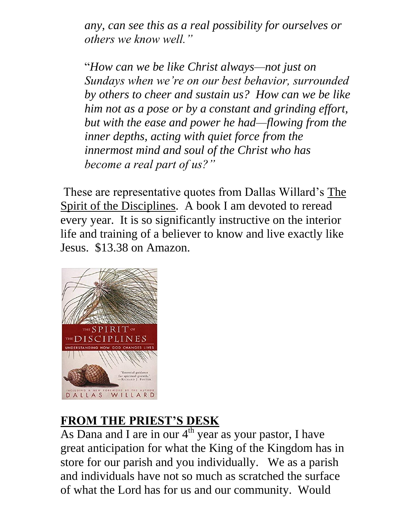*any, can see this as a real possibility for ourselves or others we know well."*

"*How can we be like Christ always—not just on Sundays when we're on our best behavior, surrounded by others to cheer and sustain us? How can we be like him not as a pose or by a constant and grinding effort, but with the ease and power he had—flowing from the inner depths, acting with quiet force from the innermost mind and soul of the Christ who has become a real part of us?"*

These are representative quotes from Dallas Willard's The Spirit of the Disciplines. A book I am devoted to reread every year. It is so significantly instructive on the interior life and training of a believer to know and live exactly like Jesus. \$13.38 on Amazon.



## **FROM THE PRIEST'S DESK**

As Dana and I are in our  $4<sup>th</sup>$  year as your pastor, I have great anticipation for what the King of the Kingdom has in store for our parish and you individually. We as a parish and individuals have not so much as scratched the surface of what the Lord has for us and our community. Would